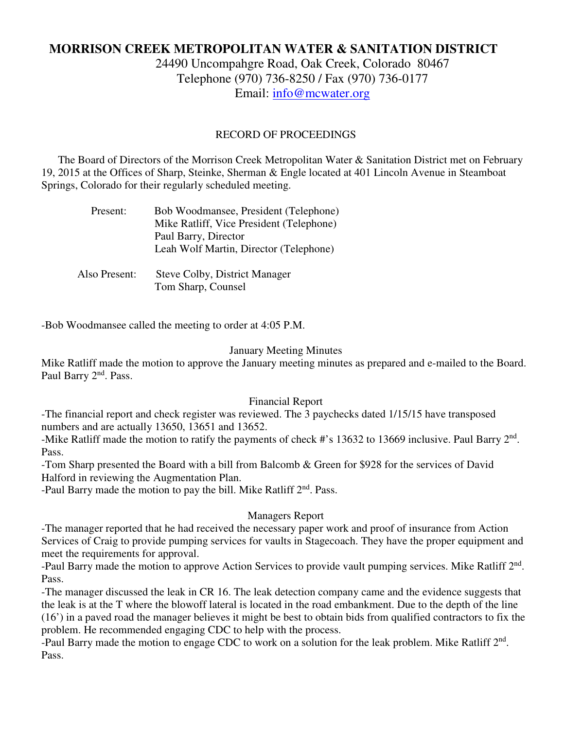# **MORRISON CREEK METROPOLITAN WATER & SANITATION DISTRICT**

24490 Uncompahgre Road, Oak Creek, Colorado 80467 Telephone (970) 736-8250 / Fax (970) 736-0177 Email: info@mcwater.org

#### RECORD OF PROCEEDINGS

 The Board of Directors of the Morrison Creek Metropolitan Water & Sanitation District met on February 19, 2015 at the Offices of Sharp, Steinke, Sherman & Engle located at 401 Lincoln Avenue in Steamboat Springs, Colorado for their regularly scheduled meeting.

| Present:      | Bob Woodmansee, President (Telephone)    |
|---------------|------------------------------------------|
|               | Mike Ratliff, Vice President (Telephone) |
|               | Paul Barry, Director                     |
|               | Leah Wolf Martin, Director (Telephone)   |
|               |                                          |
| Also Present: | Steve Colby, District Manager            |
|               | Tom Sharp, Counsel                       |

-Bob Woodmansee called the meeting to order at 4:05 P.M.

#### January Meeting Minutes

Mike Ratliff made the motion to approve the January meeting minutes as prepared and e-mailed to the Board. Paul Barry 2<sup>nd</sup>. Pass.

#### Financial Report

-The financial report and check register was reviewed. The 3 paychecks dated 1/15/15 have transposed numbers and are actually 13650, 13651 and 13652.

-Mike Ratliff made the motion to ratify the payments of check #'s 13632 to 13669 inclusive. Paul Barry 2<sup>nd</sup>. Pass.

-Tom Sharp presented the Board with a bill from Balcomb & Green for \$928 for the services of David Halford in reviewing the Augmentation Plan.

-Paul Barry made the motion to pay the bill. Mike Ratliff 2<sup>nd</sup>. Pass.

## Managers Report

-The manager reported that he had received the necessary paper work and proof of insurance from Action Services of Craig to provide pumping services for vaults in Stagecoach. They have the proper equipment and meet the requirements for approval.

-Paul Barry made the motion to approve Action Services to provide vault pumping services. Mike Ratliff 2<sup>nd</sup>. Pass.

-The manager discussed the leak in CR 16. The leak detection company came and the evidence suggests that the leak is at the T where the blowoff lateral is located in the road embankment. Due to the depth of the line (16') in a paved road the manager believes it might be best to obtain bids from qualified contractors to fix the problem. He recommended engaging CDC to help with the process.

-Paul Barry made the motion to engage CDC to work on a solution for the leak problem. Mike Ratliff  $2<sup>nd</sup>$ . Pass.